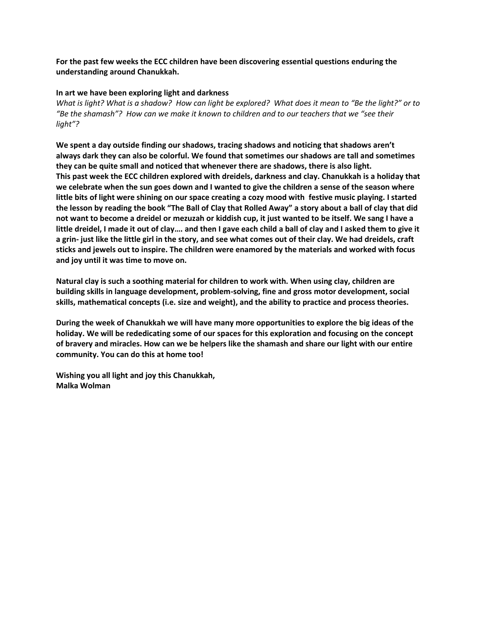**For the past few weeks the ECC children have been discovering essential questions enduring the understanding around Chanukkah.**

## **In art we have been exploring light and darkness**

*What is light? What is a shadow? How can light be explored? What does it mean to "Be the light?" or to "Be the shamash"? How can we make it known to children and to our teachers that we "see their light"?*

**We spent a day outside finding our shadows, tracing shadows and noticing that shadows aren't always dark they can also be colorful. We found that sometimes our shadows are tall and sometimes they can be quite small and noticed that whenever there are shadows, there is also light. This past week the ECC children explored with dreidels, darkness and clay. Chanukkah is a holiday that we celebrate when the sun goes down and I wanted to give the children a sense of the season where little bits of light were shining on our space creating a cozy mood with festive music playing. I started the lesson by reading the book "The Ball of Clay that Rolled Away" a story about a ball of clay that did not want to become a dreidel or mezuzah or kiddish cup, it just wanted to be itself. We sang I have a little dreidel, I made it out of clay…. and then I gave each child a ball of clay and I asked them to give it a grin- just like the little girl in the story, and see what comes out of their clay. We had dreidels, craft sticks and jewels out to inspire. The children were enamored by the materials and worked with focus and joy until it was time to move on.**

**Natural clay is such a soothing material for children to work with. When using clay, children are building skills in language development, problem-solving, fine and gross motor development, social skills, mathematical concepts (i.e. size and weight), and the ability to practice and process theories.**

**During the week of Chanukkah we will have many more opportunities to explore the big ideas of the holiday. We will be rededicating some of our spaces for this exploration and focusing on the concept of bravery and miracles. How can we be helpers like the shamash and share our light with our entire community. You can do this at home too!**

**Wishing you all light and joy this Chanukkah, Malka Wolman**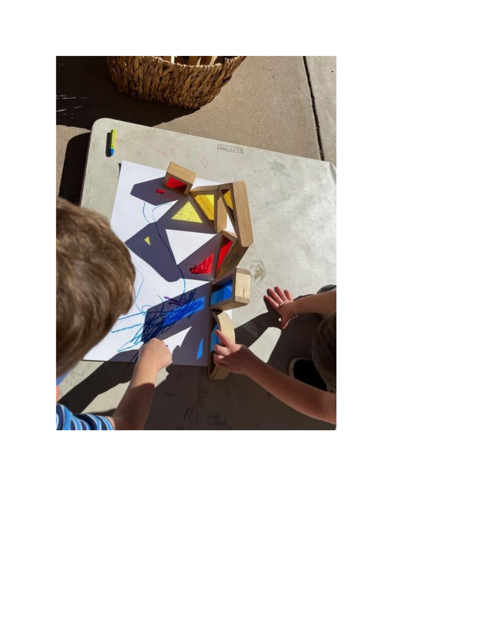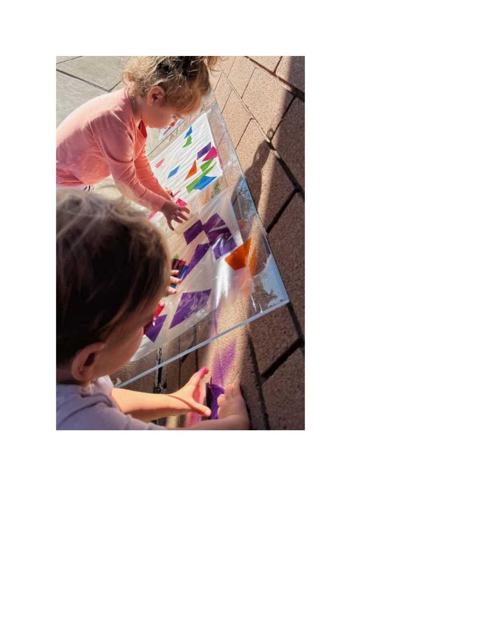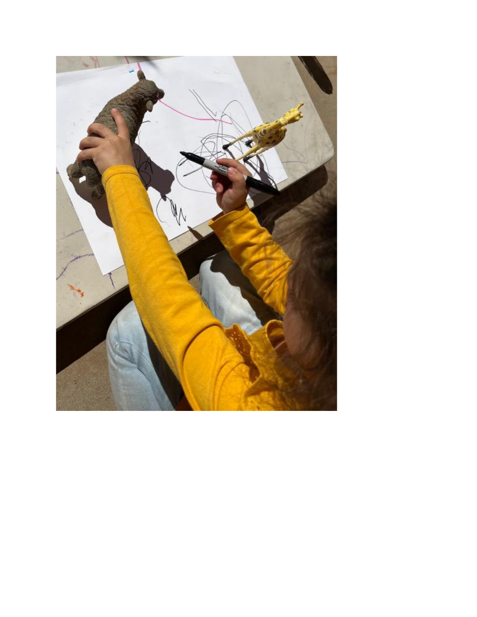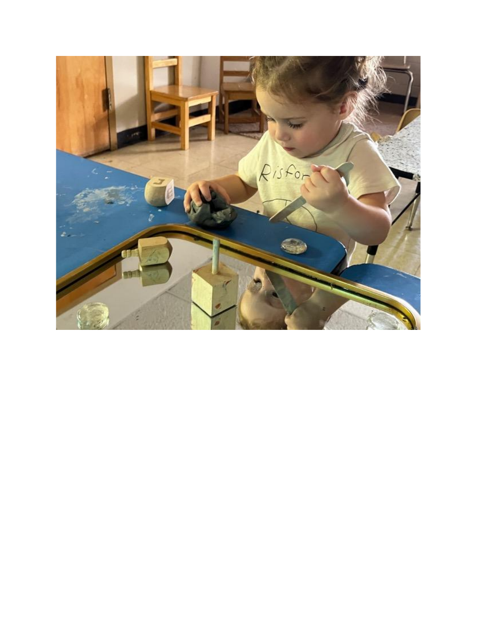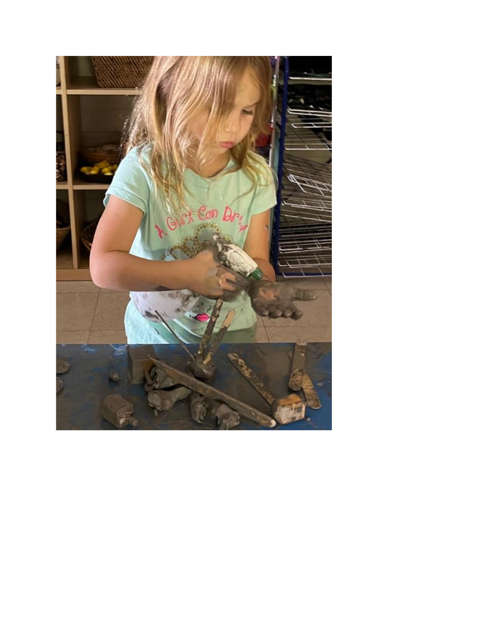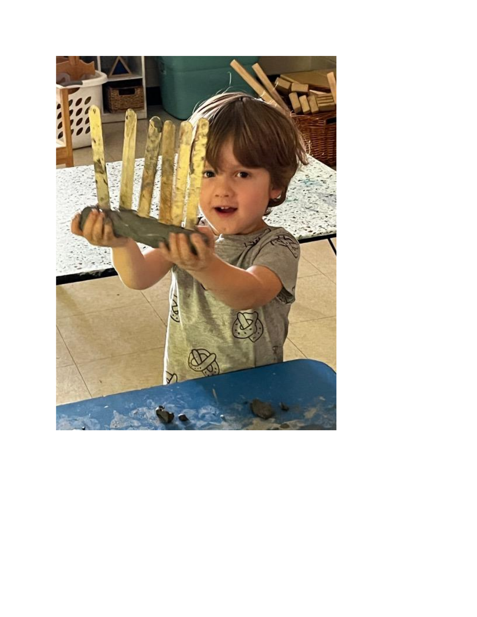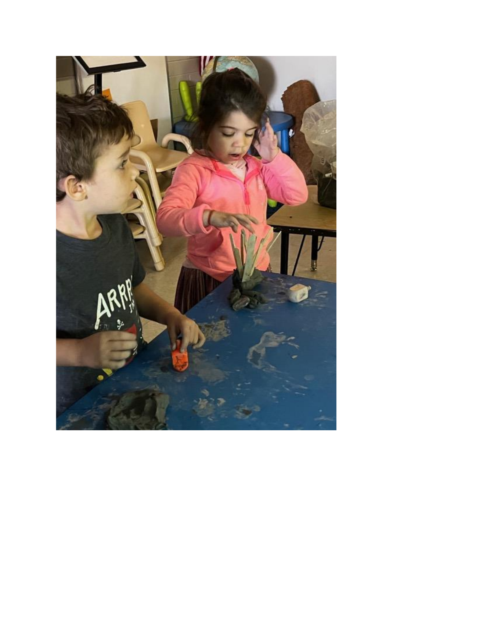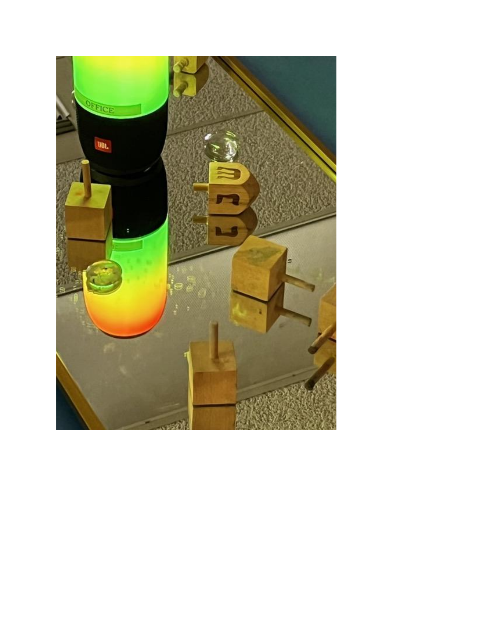